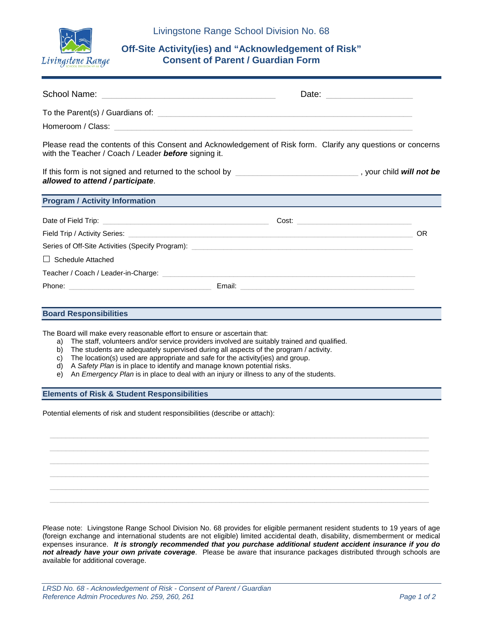

## **Off-Site Activity(ies) and "Acknowledgement of Risk" Consent of Parent / Guardian Form**

|                                                                                                                                                                                                                                | Date: ____________________                                                                                                |
|--------------------------------------------------------------------------------------------------------------------------------------------------------------------------------------------------------------------------------|---------------------------------------------------------------------------------------------------------------------------|
|                                                                                                                                                                                                                                |                                                                                                                           |
|                                                                                                                                                                                                                                |                                                                                                                           |
| with the Teacher / Coach / Leader before signing it.                                                                                                                                                                           | Please read the contents of this Consent and Acknowledgement of Risk form. Clarify any questions or concerns              |
| allowed to attend / participate.                                                                                                                                                                                               | If this form is not signed and returned to the school by <b>EXAL REGISTER 2000 CONVERTS 2000</b> , your child will not be |
| <b>Program / Activity Information</b>                                                                                                                                                                                          |                                                                                                                           |
|                                                                                                                                                                                                                                |                                                                                                                           |
|                                                                                                                                                                                                                                | OR                                                                                                                        |
|                                                                                                                                                                                                                                |                                                                                                                           |
| $\Box$ Schedule Attached                                                                                                                                                                                                       |                                                                                                                           |
| Teacher / Coach / Leader-in-Charge: with a state of the control of the control of the control of the control of the control of the control of the control of the control of the control of the control of the control of the c |                                                                                                                           |
|                                                                                                                                                                                                                                |                                                                                                                           |

## **Board Responsibilities**

The Board will make every reasonable effort to ensure or ascertain that:

- a) The staff, volunteers and/or service providers involved are suitably trained and qualified.<br>b) The students are adequately supervised during all aspects of the program / activity.
- The students are adequately supervised during all aspects of the program / activity.
- c) The location(s) used are appropriate and safe for the activity(ies) and group.
- d) A *Safety Plan* is in place to identify and manage known potential risks.
- e) An *Emergency Plan* is in place to deal with an injury or illness to any of the students.

## **Elements of Risk & Student Responsibilities**

Potential elements of risk and student responsibilities (describe or attach):

Please note: Livingstone Range School Division No. 68 provides for eligible permanent resident students to 19 years of age (foreign exchange and international students are not eligible) limited accidental death, disability, dismemberment or medical expenses insurance. *It is strongly recommended that you purchase additional student accident insurance if you do not already have your own private coverage*. Please be aware that insurance packages distributed through schools are available for additional coverage.